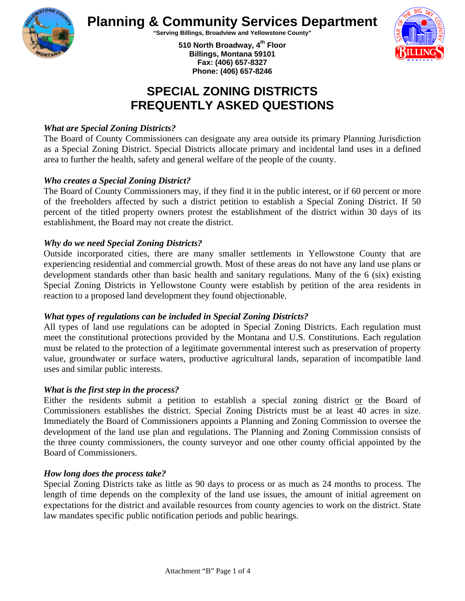

**Planning & Community Services Department** 

**"Serving Billings, Broadview and Yellowstone County"** 

**510 North Broadway, 4th Floor Billings, Montana 59101 Fax: (406) 657-8327 Phone: (406) 657-8246** 



# **SPECIAL ZONING DISTRICTS FREQUENTLY ASKED QUESTIONS**

## *What are Special Zoning Districts?*

The Board of County Commissioners can designate any area outside its primary Planning Jurisdiction as a Special Zoning District. Special Districts allocate primary and incidental land uses in a defined area to further the health, safety and general welfare of the people of the county.

## *Who creates a Special Zoning District?*

The Board of County Commissioners may, if they find it in the public interest, or if 60 percent or more of the freeholders affected by such a district petition to establish a Special Zoning District. If 50 percent of the titled property owners protest the establishment of the district within 30 days of its establishment, the Board may not create the district.

#### *Why do we need Special Zoning Districts?*

Outside incorporated cities, there are many smaller settlements in Yellowstone County that are experiencing residential and commercial growth. Most of these areas do not have any land use plans or development standards other than basic health and sanitary regulations. Many of the 6 (six) existing Special Zoning Districts in Yellowstone County were establish by petition of the area residents in reaction to a proposed land development they found objectionable.

# *What types of regulations can be included in Special Zoning Districts?*

All types of land use regulations can be adopted in Special Zoning Districts. Each regulation must meet the constitutional protections provided by the Montana and U.S. Constitutions. Each regulation must be related to the protection of a legitimate governmental interest such as preservation of property value, groundwater or surface waters, productive agricultural lands, separation of incompatible land uses and similar public interests.

#### *What is the first step in the process?*

Either the residents submit a petition to establish a special zoning district or the Board of Commissioners establishes the district. Special Zoning Districts must be at least 40 acres in size. Immediately the Board of Commissioners appoints a Planning and Zoning Commission to oversee the development of the land use plan and regulations. The Planning and Zoning Commission consists of the three county commissioners, the county surveyor and one other county official appointed by the Board of Commissioners.

#### *How long does the process take?*

Special Zoning Districts take as little as 90 days to process or as much as 24 months to process. The length of time depends on the complexity of the land use issues, the amount of initial agreement on expectations for the district and available resources from county agencies to work on the district. State law mandates specific public notification periods and public hearings.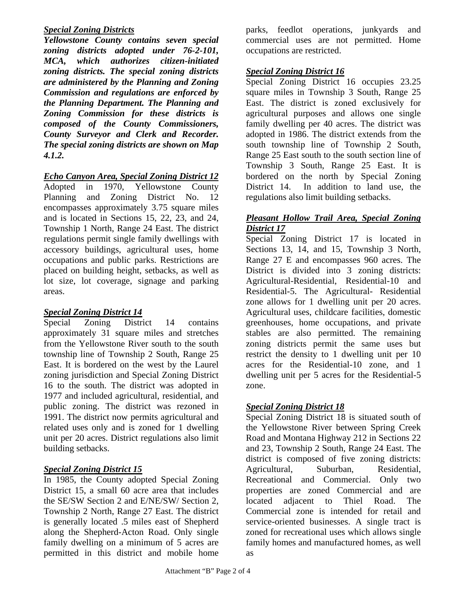## *Special Zoning Districts*

*Yellowstone County contains seven special zoning districts adopted under 76-2-101, MCA, which authorizes citizen-initiated zoning districts. The special zoning districts are administered by the Planning and Zoning Commission and regulations are enforced by the Planning Department. The Planning and Zoning Commission for these districts is composed of the County Commissioners, County Surveyor and Clerk and Recorder. The special zoning districts are shown on Map 4.1.2.* 

## *Echo Canyon Area, Special Zoning District 12*

Adopted in 1970, Yellowstone County Planning and Zoning District No. 12 encompasses approximately 3.75 square miles and is located in Sections 15, 22, 23, and 24, Township 1 North, Range 24 East. The district regulations permit single family dwellings with accessory buildings, agricultural uses, home occupations and public parks. Restrictions are placed on building height, setbacks, as well as lot size, lot coverage, signage and parking areas.

# *Special Zoning District 14*

Special Zoning District 14 contains approximately 31 square miles and stretches from the Yellowstone River south to the south township line of Township 2 South, Range 25 East. It is bordered on the west by the Laurel zoning jurisdiction and Special Zoning District 16 to the south. The district was adopted in 1977 and included agricultural, residential, and public zoning. The district was rezoned in 1991. The district now permits agricultural and related uses only and is zoned for 1 dwelling unit per 20 acres. District regulations also limit building setbacks.

# *Special Zoning District 15*

In 1985, the County adopted Special Zoning District 15, a small 60 acre area that includes the SE/SW Section 2 and E/NE/SW/ Section 2, Township 2 North, Range 27 East. The district is generally located .5 miles east of Shepherd along the Shepherd-Acton Road. Only single family dwelling on a minimum of 5 acres are permitted in this district and mobile home

parks, feedlot operations, junkyards and commercial uses are not permitted. Home occupations are restricted.

# *Special Zoning District 16*

Special Zoning District 16 occupies 23.25 square miles in Township 3 South, Range 25 East. The district is zoned exclusively for agricultural purposes and allows one single family dwelling per 40 acres. The district was adopted in 1986. The district extends from the south township line of Township 2 South, Range 25 East south to the south section line of Township 3 South, Range 25 East. It is bordered on the north by Special Zoning District 14. In addition to land use, the regulations also limit building setbacks.

# *Pleasant Hollow Trail Area, Special Zoning District 17*

Special Zoning District 17 is located in Sections 13, 14, and 15, Township 3 North, Range 27 E and encompasses 960 acres. The District is divided into 3 zoning districts: Agricultural-Residential, Residential-10 and Residential-5. The Agricultural- Residential zone allows for 1 dwelling unit per 20 acres. Agricultural uses, childcare facilities, domestic greenhouses, home occupations, and private stables are also permitted. The remaining zoning districts permit the same uses but restrict the density to 1 dwelling unit per 10 acres for the Residential-10 zone, and 1 dwelling unit per 5 acres for the Residential-5 zone.

# *Special Zoning District 18*

Special Zoning District 18 is situated south of the Yellowstone River between Spring Creek Road and Montana Highway 212 in Sections 22 and 23, Township 2 South, Range 24 East. The district is composed of five zoning districts: Agricultural, Suburban, Residential, Recreational and Commercial. Only two properties are zoned Commercial and are located adjacent to Thiel Road. The Commercial zone is intended for retail and service-oriented businesses. A single tract is zoned for recreational uses which allows single family homes and manufactured homes, as well as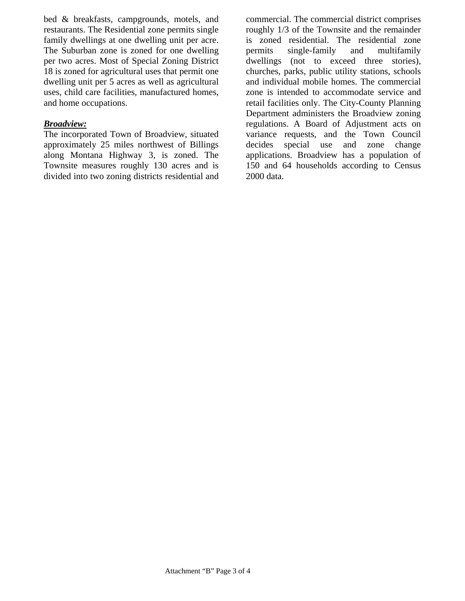bed & breakfasts, campgrounds, motels, and restaurants. The Residential zone permits single family dwellings at one dwelling unit per acre. The Suburban zone is zoned for one dwelling per two acres. Most of Special Zoning District 18 is zoned for agricultural uses that permit one dwelling unit per 5 acres as well as agricultural uses, child care facilities, manufactured homes, and home occupations.

#### *Broadview:*

The incorporated Town of Broadview, situated approximately 25 miles northwest of Billings along Montana Highway 3, is zoned. The Townsite measures roughly 130 acres and is divided into two zoning districts residential and

commercial. The commercial district comprises roughly 1/3 of the Townsite and the remainder is zoned residential. The residential zone permits single-family and multifamily dwellings (not to exceed three stories), churches, parks, public utility stations, schools and individual mobile homes. The commercial zone is intended to accommodate service and retail facilities only. The City-County Planning Department administers the Broadview zoning regulations. A Board of Adjustment acts on variance requests, and the Town Council decides special use and zone change applications. Broadview has a population of 150 and 64 households according to Census 2000 data.